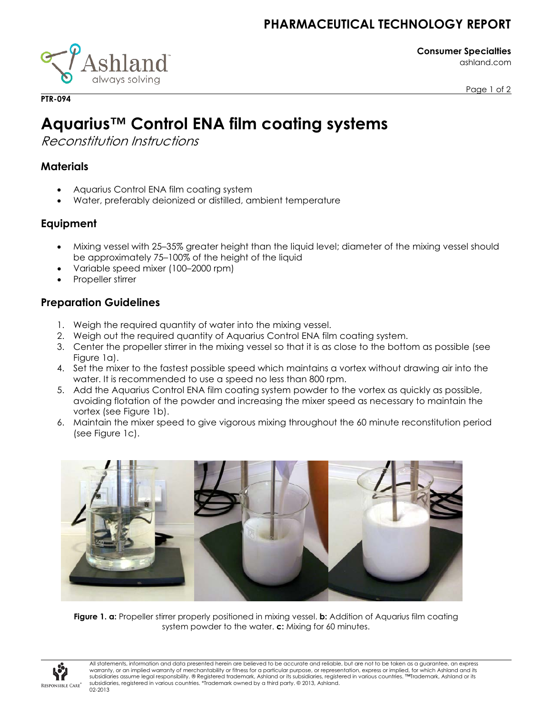## **PHARMACEUTICAL TECHNOLOGY REPORT**

iland<sup>-</sup> always solving

**Consumer Specialties** ashland.com

Page 1 of 2

# **Aquarius™ Control ENA film coating systems**

Reconstitution Instructions

#### **Materials**

**PTR-094**

- Aquarius Control ENA film coating system
- Water, preferably deionized or distilled, ambient temperature

### **Equipment**

- Mixing vessel with 25–35% greater height than the liquid level; diameter of the mixing vessel should be approximately 75–100% of the height of the liquid
- Variable speed mixer (100–2000 rpm)
- Propeller stirrer

### **Preparation Guidelines**

- 1. Weigh the required quantity of water into the mixing vessel.
- 2. Weigh out the required quantity of Aquarius Control ENA film coating system.
- 3. Center the propeller stirrer in the mixing vessel so that it is as close to the bottom as possible (see Figure 1a).
- 4. Set the mixer to the fastest possible speed which maintains a vortex without drawing air into the water. It is recommended to use a speed no less than 800 rpm.
- 5. Add the Aquarius Control ENA film coating system powder to the vortex as quickly as possible, avoiding flotation of the powder and increasing the mixer speed as necessary to maintain the vortex (see Figure 1b).
- 6. Maintain the mixer speed to give vigorous mixing throughout the 60 minute reconstitution period (see Figure 1c).



**Figure 1. a:** Propeller stirrer properly positioned in mixing vessel. **b:** Addition of Aquarius film coating system powder to the water. **c:** Mixing for 60 minutes.



All statements, information and data presented herein are believed to be accurate and reliable, but are not to be taken as a guarantee, an express warranty, or an implied warranty of merchantability or fitness for a particular purpose, or representation, express or implied, for which Ashland and its subsidiaries assume legal responsibility. ® Registered trademark, Ashland or its subsidiaries, registered in various countries. ™Trademark, Ashland or its subsidiaries, registered in various countries. \*Trademark owned by a third party. © 2013, Ashland. 02-2013